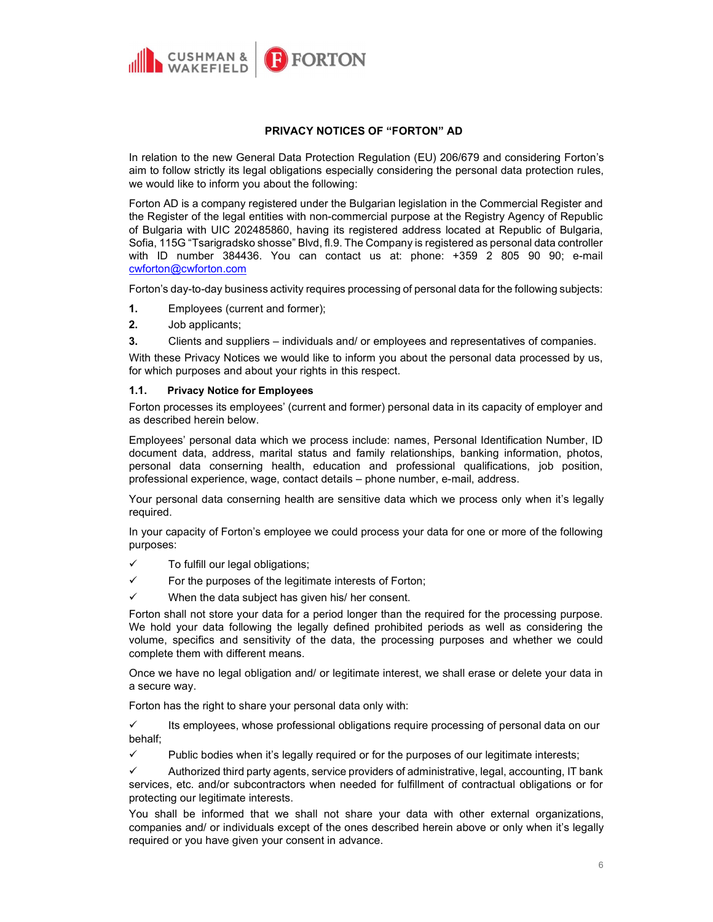

# PRIVACY NOTICES OF "FORTON" AD

In relation to the new General Data Protection Regulation (EU) 206/679 and considering Forton's aim to follow strictly its legal obligations especially considering the personal data protection rules, we would like to inform you about the following:

Forton AD is a company registered under the Bulgarian legislation in the Commercial Register and the Register of the legal entities with non-commercial purpose at the Registry Agency of Republic of Bulgaria with UIC 202485860, having its registered address located at Republic of Bulgaria, Sofia, 115G "Tsarigradsko shosse" Blvd, fl.9. The Company is registered as personal data controller with ID number 384436. You can contact us at: phone: +359 2 805 90 90; e-mail cwforton@cwforton.com

Forton's day-to-day business activity requires processing of personal data for the following subjects:

- 1. Employees (current and former);
- 2. Job applicants;
- 3. Clients and suppliers individuals and/ or employees and representatives of companies.

With these Privacy Notices we would like to inform you about the personal data processed by us, for which purposes and about your rights in this respect.

### 1.1. Privacy Notice for Employees

Forton processes its employees' (current and former) personal data in its capacity of employer and as described herein below.

Employees' personal data which we process include: names, Personal Identification Number, ID document data, address, marital status and family relationships, banking information, photos, personal data conserning health, education and professional qualifications, job position, professional experience, wage, contact details – phone number, e-mail, address.

Your personal data conserning health are sensitive data which we process only when it's legally required.

In your capacity of Forton's employee we could process your data for one or more of the following purposes:

- $\checkmark$  To fulfill our legal obligations;
- $\checkmark$  For the purposes of the legitimate interests of Forton;
- $\checkmark$  When the data subject has given his/ her consent.

Forton shall not store your data for a period longer than the required for the processing purpose. We hold your data following the legally defined prohibited periods as well as considering the volume, specifics and sensitivity of the data, the processing purposes and whether we could complete them with different means.

Once we have no legal obligation and/ or legitimate interest, we shall erase or delete your data in a secure way.

Forton has the right to share your personal data only with:

 $\checkmark$  Its employees, whose professional obligations require processing of personal data on our behalf;

 $\checkmark$  Public bodies when it's legally required or for the purposes of our legitimate interests;

 $\checkmark$  Authorized third party agents, service providers of administrative, legal, accounting, IT bank services, etc. and/or subcontractors when needed for fulfillment of contractual obligations or for protecting our legitimate interests.

You shall be informed that we shall not share your data with other external organizations, companies and/ or individuals except of the ones described herein above or only when it's legally required or you have given your consent in advance.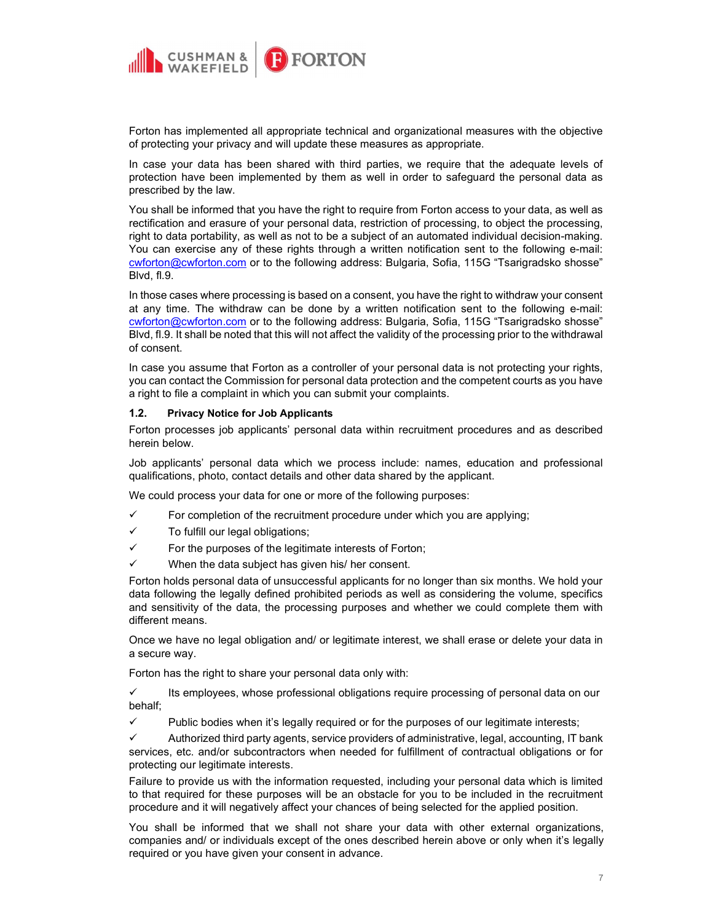

Forton has implemented all appropriate technical and organizational measures with the objective of protecting your privacy and will update these measures as appropriate.

In case your data has been shared with third parties, we require that the adequate levels of protection have been implemented by them as well in order to safeguard the personal data as prescribed by the law.

You shall be informed that you have the right to require from Forton access to your data, as well as rectification and erasure of your personal data, restriction of processing, to object the processing, right to data portability, as well as not to be a subject of an automated individual decision-making. You can exercise any of these rights through a written notification sent to the following e-mail: cwforton@cwforton.com or to the following address: Bulgaria, Sofia, 115G "Tsarigradsko shosse" Blvd, fl.9.

In those cases where processing is based on a consent, you have the right to withdraw your consent at any time. The withdraw can be done by a written notification sent to the following e-mail: cwforton@cwforton.com or to the following address: Bulgaria, Sofia, 115G "Tsarigradsko shosse" Blvd, fl.9. It shall be noted that this will not affect the validity of the processing prior to the withdrawal of consent.

In case you assume that Forton as a controller of your personal data is not protecting your rights, you can contact the Commission for personal data protection and the competent courts as you have a right to file a complaint in which you can submit your complaints.

# 1.2. Privacy Notice for Job Applicants

Forton processes job applicants' personal data within recruitment procedures and as described herein below.

Job applicants' personal data which we process include: names, education and professional qualifications, photo, contact details and other data shared by the applicant.

We could process your data for one or more of the following purposes:

- $\checkmark$  For completion of the recruitment procedure under which you are applying;
- $\checkmark$  To fulfill our legal obligations;
- $\checkmark$  For the purposes of the legitimate interests of Forton;
- $\checkmark$  When the data subject has given his/ her consent.

Forton holds personal data of unsuccessful applicants for no longer than six months. We hold your data following the legally defined prohibited periods as well as considering the volume, specifics and sensitivity of the data, the processing purposes and whether we could complete them with different means.

Once we have no legal obligation and/ or legitimate interest, we shall erase or delete your data in a secure way.

Forton has the right to share your personal data only with:

 $\checkmark$  Its employees, whose professional obligations require processing of personal data on our behalf;

 $\checkmark$  Public bodies when it's legally required or for the purposes of our legitimate interests;

 Authorized third party agents, service providers of administrative, legal, accounting, IT bank services, etc. and/or subcontractors when needed for fulfillment of contractual obligations or for protecting our legitimate interests.

Failure to provide us with the information requested, including your personal data which is limited to that required for these purposes will be an obstacle for you to be included in the recruitment procedure and it will negatively affect your chances of being selected for the applied position.

You shall be informed that we shall not share your data with other external organizations, companies and/ or individuals except of the ones described herein above or only when it's legally required or you have given your consent in advance.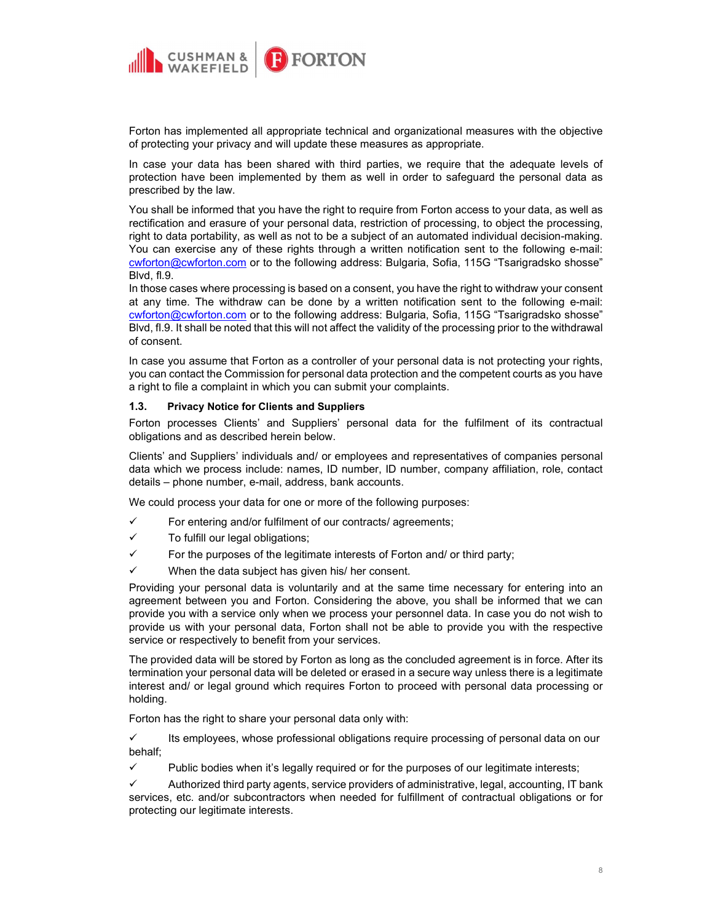

Forton has implemented all appropriate technical and organizational measures with the objective of protecting your privacy and will update these measures as appropriate.

In case your data has been shared with third parties, we require that the adequate levels of protection have been implemented by them as well in order to safeguard the personal data as prescribed by the law.

You shall be informed that you have the right to require from Forton access to your data, as well as rectification and erasure of your personal data, restriction of processing, to object the processing, right to data portability, as well as not to be a subject of an automated individual decision-making. You can exercise any of these rights through a written notification sent to the following e-mail: cwforton@cwforton.com or to the following address: Bulgaria, Sofia, 115G "Tsarigradsko shosse" Blvd, fl.9.

In those cases where processing is based on a consent, you have the right to withdraw your consent at any time. The withdraw can be done by a written notification sent to the following e-mail: cwforton@cwforton.com or to the following address: Bulgaria, Sofia, 115G "Tsarigradsko shosse" Blvd, fl.9. It shall be noted that this will not affect the validity of the processing prior to the withdrawal of consent.

In case you assume that Forton as a controller of your personal data is not protecting your rights, you can contact the Commission for personal data protection and the competent courts as you have a right to file a complaint in which you can submit your complaints.

# 1.3. Privacy Notice for Clients and Suppliers

Forton processes Clients' and Suppliers' personal data for the fulfilment of its contractual obligations and as described herein below.

Clients' and Suppliers' individuals and/ or employees and representatives of companies personal data which we process include: names, ID number, ID number, company affiliation, role, contact details – phone number, e-mail, address, bank accounts.

We could process your data for one or more of the following purposes:

- $\checkmark$  For entering and/or fulfilment of our contracts/ agreements;
- $\checkmark$  To fulfill our legal obligations;
- $\checkmark$  For the purposes of the legitimate interests of Forton and/ or third party;
- $\checkmark$  When the data subject has given his/ her consent.

Providing your personal data is voluntarily and at the same time necessary for entering into an agreement between you and Forton. Considering the above, you shall be informed that we can provide you with a service only when we process your personnel data. In case you do not wish to provide us with your personal data, Forton shall not be able to provide you with the respective service or respectively to benefit from your services.

The provided data will be stored by Forton as long as the concluded agreement is in force. After its termination your personal data will be deleted or erased in a secure way unless there is a legitimate interest and/ or legal ground which requires Forton to proceed with personal data processing or holding.

Forton has the right to share your personal data only with:

 $\checkmark$  Its employees, whose professional obligations require processing of personal data on our behalf;

 $\checkmark$  Public bodies when it's legally required or for the purposes of our legitimate interests;

 Authorized third party agents, service providers of administrative, legal, accounting, IT bank services, etc. and/or subcontractors when needed for fulfillment of contractual obligations or for protecting our legitimate interests.